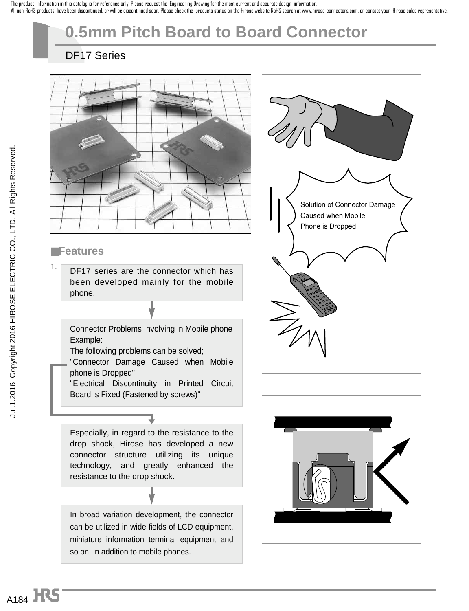The product information in this catalog is for reference only. Please request the Engineering Drawing for the most current and accurate design information. All non-RoHS products have been discontinued, or will be discontinued soon. Please check the products status on the Hirose website RoHS search at www.hirose-connectors.com, or contact your Hirose sales representative.

# **0.5mm Pitch Board to Board Connector**

### DF17 Series



### ■**Features**

1. DF17 series are the connector which has been developed mainly for the mobile phone.

#### Connector Problems Involving in Mobile phone Example:

The following problems can be solved;

"Connector Damage Caused when Mobile phone is Dropped"

"Electrical Discontinuity in Printed Circuit Board is Fixed (Fastened by screws)"

### Especially, in regard to the resistance to the drop shock, Hirose has developed a new connector structure utilizing its unique technology, and greatly enhanced the resistance to the drop shock.

In broad variation development, the connector can be utilized in wide fields of LCD equipment, miniature information terminal equipment and so on, in addition to mobile phones.



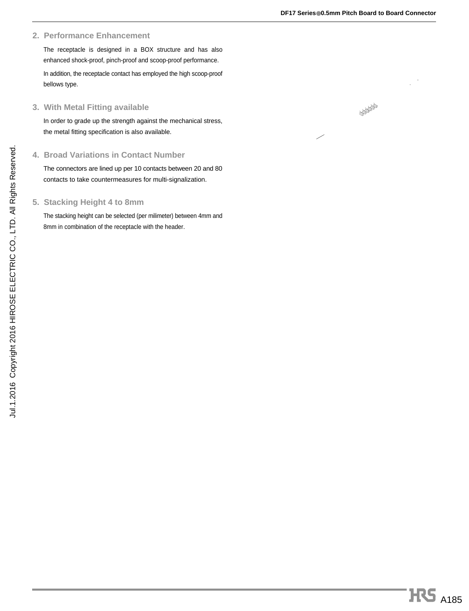#### **2. Performance Enhancement**

The receptacle is designed in a BOX structure and has also enhanced shock-proof, pinch-proof and scoop-proof performance. In addition, the receptacle contact has employed the high scoop-proof bellows type.

#### **3. With Metal Fitting available**

In order to grade up the strength against the mechanical stress, the metal fitting specification is also available.

#### **4. Broad Variations in Contact Number**

The connectors are lined up per 10 contacts between 20 and 80 contacts to take countermeasures for multi-signalization.

#### **5. Stacking Height 4 to 8mm**

The stacking height can be selected (per milimeter) between 4mm and 8mm in combination of the receptacle with the header.

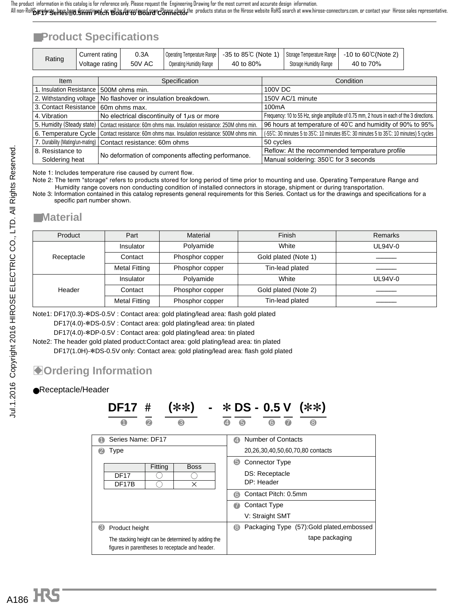## ■**Product Specifications**

| Rating | Current rating | 0.3A   |                          |           |                        | Operating Temperature Range   -35 to 85℃ (Note 1)   Storage Temperature Range   -10 to 60℃ (Note 2) |
|--------|----------------|--------|--------------------------|-----------|------------------------|-----------------------------------------------------------------------------------------------------|
|        | Voltage rating | 50V AC | Operating Humidity Range | 40 to 80% | Storage Humidity Range | 40 to 70%                                                                                           |

| <b>Item</b>                      | Specification                                                           | Condition                                                                                 |
|----------------------------------|-------------------------------------------------------------------------|-------------------------------------------------------------------------------------------|
| 1. Insulation Resistance         | 500M ohms min.                                                          | 100V DC                                                                                   |
| 2. Withstanding voltage          | No flashover or insulation breakdown.                                   | 150V AC/1 minute                                                                          |
| 3. Contact Resistance            | 60m ohms max.                                                           | 100 <sub>m</sub> A                                                                        |
| 4. Vibration                     | No electrical discontinuity of $1\mu s$ or more                         | Frequency: 10 to 55 Hz, single amplitude of 0.75 mm, 2 hours in each of the 3 directions. |
| 5. Humidity (Steady state)       | Contact resistance: 60m ohms max. Insulation resistance: 250M ohms min. | 96 hours at temperature of 40°C and humidity of 90% to 95%                                |
| 6. Temperature Cycle             | Contact resistance: 60m ohms max. Insulation resistance: 500M ohms min. | (-55°C: 30 minutes 5 to 35°C: 10 minutes 85°C: 30 minutes 5 to 35°C: 10 minutes) 5 cycles |
| 7. Durability (Mating/un-mating) | Contact resistance: 60m ohms                                            | 50 cycles                                                                                 |
| 8. Resistance to                 |                                                                         | Reflow: At the recommended temperature profile                                            |
| Soldering heat                   | No deformation of components affecting performance.                     | Manual soldering: 350℃ for 3 seconds                                                      |

Note 1: Includes temperature rise caused by current flow.

Note 2: The term "storage" refers to products stored for long period of time prior to mounting and use. Operating Temperature Range and Humidity range covers non conducting condition of installed connectors in storage, shipment or during transportation.

Note 3: Information contained in this catalog represents general requirements for this Series. Contact us for the drawings and specifications for a specific part number shown.

### ■**Material**

| Product    | Part                                                       | Material        | Finish               | Remarks   |
|------------|------------------------------------------------------------|-----------------|----------------------|-----------|
|            | Insulator                                                  | Polyamide       | White                | UL94V-0   |
| Receptacle | Phosphor copper<br>Contact                                 |                 | Gold plated (Note 1) |           |
|            | Tin-lead plated<br><b>Metal Fitting</b><br>Phosphor copper |                 |                      |           |
|            | Insulator                                                  | Polyamide       | White                | $UL94V-0$ |
| Header     | Contact                                                    | Phosphor copper | Gold plated (Note 2) |           |
|            | <b>Metal Fitting</b>                                       | Phosphor copper | Tin-lead plated      |           |

Note1: DF17(0.3)-\*DS-0.5V : Contact area: gold plating/lead area: flash gold plated

DF17(4.0)-\*DS-0.5V : Contact area: gold plating/lead area: tin plated

DF17(4.0)-\*DP-0.5V : Contact area: gold plating/lead area: tin plated

Note2: The header gold plated product:Contact area: gold plating/lead area: tin plated DF17(1.0H)-\*DS-0.5V only: Contact area: gold plating/lead area: flash gold plated

## $\bullet$  **Ordering Information**

#### ●Receptacle/Header

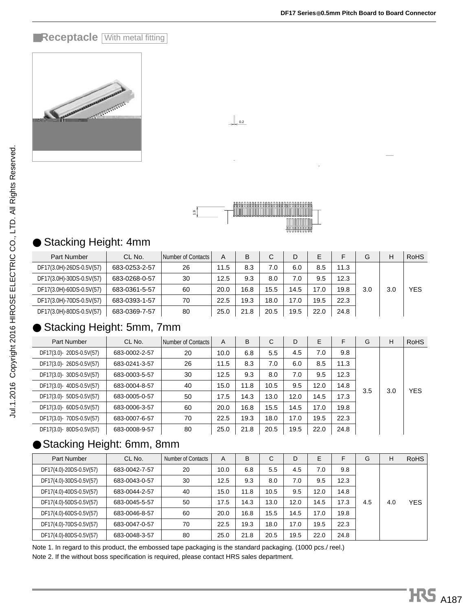### **EReceptacle With metal fitting**



| œ.<br>ᅮ | н<br><b>MARITIAN</b><br>ШШ<br>ıĦ<br>Ш<br>i<br>н<br>ш |
|---------|------------------------------------------------------|
|         |                                                      |

 $\bigcup_{0.2}$ 

### ● Stacking Height: 4mm

| <b>Part Number</b>       | CL No.        | Number of Contacts | A    | B    | С    | D    | Е    |      | G   | Н   | <b>RoHS</b> |
|--------------------------|---------------|--------------------|------|------|------|------|------|------|-----|-----|-------------|
| DF17(3.0H)-26DS-0.5V(57) | 683-0253-2-57 | 26                 | 11.5 | 8.3  | 7.0  | 6.0  | 8.5  | 11.3 |     |     |             |
| DF17(3.0H)-30DS-0.5V(57) | 683-0268-0-57 | 30                 | 12.5 | 9.3  | 8.0  | 7.0  | 9.5  | 12.3 |     |     |             |
| DF17(3.0H)-60DS-0.5V(57) | 683-0361-5-57 | 60                 | 20.0 | 16.8 | 15.5 | 14.5 | 17.0 | 19.8 | 3.0 | 3.0 | <b>YES</b>  |
| DF17(3.0H)-70DS-0.5V(57) | 683-0393-1-57 | 70                 | 22.5 | 19.3 | 18.0 | 17.0 | 19.5 | 22.3 |     |     |             |
| DF17(3.0H)-80DS-0.5V(57) | 683-0369-7-57 | 80                 | 25.0 | 21.8 | 20.5 | 19.5 | 22.0 | 24.8 |     |     |             |

### Stacking Height: 5mm, 7mm

|                                                                                                                                                                                                                         |               |                    |                 | <b>ARABARARARARARARARARARARARARARAK</b> |             |      |      |      |     |     |             |
|-------------------------------------------------------------------------------------------------------------------------------------------------------------------------------------------------------------------------|---------------|--------------------|-----------------|-----------------------------------------|-------------|------|------|------|-----|-----|-------------|
|                                                                                                                                                                                                                         |               |                    |                 |                                         |             |      |      |      |     |     |             |
|                                                                                                                                                                                                                         |               |                    |                 |                                         |             |      |      |      |     |     |             |
| ● Stacking Height: 4mm                                                                                                                                                                                                  |               |                    |                 |                                         |             |      |      |      |     |     |             |
| Part Number                                                                                                                                                                                                             | CL No.        | Number of Contacts | A               | B                                       | C           | D    | E    | F    | G   | H   | <b>RoHS</b> |
| DF17(3.0H)-26DS-0.5V(57)                                                                                                                                                                                                | 683-0253-2-57 | 26                 | 11.5            | 8.3                                     | 7.0         | 6.0  | 8.5  | 11.3 |     |     |             |
| DF17(3.0H)-30DS-0.5V(57)                                                                                                                                                                                                | 683-0268-0-57 | 30                 | 12.5            | 9.3                                     | 8,0         | 7.0  | 9.5  | 12.3 |     |     |             |
| DF17(3.0H)-60DS-0.5V(57)                                                                                                                                                                                                | 683-0361-5-57 | 60                 | 20.0            | 16.8                                    | $15^{1.5}$  | 14.5 | 17.0 | 19.8 | 3.0 | 3.0 | <b>YES</b>  |
| DF17(3.0H)-70DS-0.5V(57)                                                                                                                                                                                                | 683-0393-1-57 | 70                 | 22.5            | 19.3                                    | 18.0        | 17.0 | 19.5 | 22.3 |     |     |             |
| DF17(3.0H)-80DS-0.5V(57)                                                                                                                                                                                                | 683-0369-7-57 | 80                 | 25.0            | 21.8                                    | 20.5        | 19.5 | 22.0 | 24.8 |     |     |             |
| $\bullet$ Stacking Height: 5mm, 7mm                                                                                                                                                                                     |               |                    |                 |                                         |             |      |      |      |     |     |             |
| Part Number                                                                                                                                                                                                             | CL No.        | Number of Contacts | A               | B                                       | $\mathsf C$ | D    | E    | F    | G   | H   | <b>RoHS</b> |
| DF17(3.0)-20DS-0.5V(57)                                                                                                                                                                                                 | 683-0002-2-57 | 20                 | 10.0            | 6.8                                     | 5.5         | 4/5  | 7.0  | 9.8  |     |     |             |
| DF17(3.0)-26DS-0.5V(57)                                                                                                                                                                                                 | 683-0241-3-57 | 26                 | 11.5            | 8.3                                     | 7.0         | /6.0 | 8.5  | 11.3 |     |     |             |
| DF17(3.0)- 30DS-0.5V(57)                                                                                                                                                                                                | 683-0003-5-57 | 30                 | 12.5            | 9.3/                                    | 8.0         | 7.0  | 9.5  | 12.3 |     |     |             |
| DF17(3.0)-40DS-0.5V(57)                                                                                                                                                                                                 | 683-0004-8-57 | 40                 | 15.0            | 11.8                                    | 10.5        | 9.5  | 12.0 | 14.8 |     |     |             |
| DF17(3.0)- 50DS-0.5V(57)                                                                                                                                                                                                | 683-0005-0-57 | 50                 | 17.5            | 14/3                                    | 13.0        | 12.0 | 14.5 | 17.3 | 3.5 | 3.0 | <b>YES</b>  |
| DF17(3.0)- 60DS-0.5V(57)                                                                                                                                                                                                | 683-0006-3-57 | 60                 | 20.0            | 16.8                                    | 15.5        | 14.5 | 17.0 | 19.8 |     |     |             |
| DF17(3.0)-70DS-0.5V(57)                                                                                                                                                                                                 | 683-0007-6-57 | 70                 | 22.5            | 19.3                                    | 18/0        | 17.0 | 19.5 | 22.3 |     |     |             |
| DF17(3.0)-80DS-0.5V(57)                                                                                                                                                                                                 | 683-0008-9-57 | 80                 | 25.0            | 21.8                                    | 20.5        | 19.5 | 22.0 | 24.8 |     |     |             |
| ● Stacking Height: 6mm, 8mm                                                                                                                                                                                             |               |                    |                 |                                         |             |      |      |      |     |     |             |
| Part Number                                                                                                                                                                                                             | CL No.        | Number of Contacts | A               | В                                       | C           | D    | E    | F    | G   | Н   | <b>RoHS</b> |
| DF17(4.0)-20DS-0.5V(57)                                                                                                                                                                                                 | 683-0042-7-57 | 20                 | 10.0            | 6.8                                     | 5.5         | 4.5  | 7.0  | 9.8  |     |     |             |
| DF17(4.0)-30DS-0.5V(57)                                                                                                                                                                                                 | 683-0043-0-57 | 30                 | 12.5            | 9/3                                     | 8.0         | 7.0  | 9.5  | 12.3 |     |     |             |
| DF17(4.0)-40DS-0.5V(57)                                                                                                                                                                                                 | 683-0044-2-57 | 40                 | 15.0            | 1/1.8                                   | 10.5        | 9.5  | 12.0 | 14.8 |     |     |             |
| DF17(4.0)-50DS-0.5V(57)                                                                                                                                                                                                 | 683-0045-5-57 | 50                 | 17.5            | 44.3                                    | 13.0        | 12.0 | 14.5 | 17.3 | 4.5 | 4.0 | <b>YES</b>  |
| DF17(4.0)-60DS-0.5V(57)                                                                                                                                                                                                 | 683-0046-8-57 | 60                 | 20 <sub>0</sub> | 16.8                                    | 15.5        | 14.5 | 17.0 | 19.8 |     |     |             |
| DF17(4.0)-70DS-0.5V(57)                                                                                                                                                                                                 | 683-0047-0-57 | 70                 | 22.5            | 19.3                                    | 18.0        | 17.0 | 19.5 | 22.3 |     |     |             |
| DF17(4.0)-80DS-0.5V(57)                                                                                                                                                                                                 | 683-0048-3-57 | 80                 | 25.0'           | 21.8                                    | 20.5        | 19.5 | 22.0 | 24.8 |     |     |             |
| Note 1. In regard to this product, the embossed tape packaging is the standard packaging. (1000 pcs./ reel.)<br>Note 2. If the without boss specification is required, please cont $\sharp\phi$ t HRS sales department. |               |                    |                 |                                         |             |      |      |      |     |     |             |

## ● Stacking Height: 6mm, 8mm

| Part Number             | CL No.        | Number of Contacts | A     | B    | C    | D    | E    | F    | G   | н   | <b>RoHS</b> |
|-------------------------|---------------|--------------------|-------|------|------|------|------|------|-----|-----|-------------|
| DF17(4.0)-20DS-0.5V(57) | 683-0042-7-57 | 20                 | 10.0  | 6.8  | 5.5  | 4.5  | 7.0  | 9.8  |     |     |             |
| DF17(4.0)-30DS-0.5V(57) | 683-0043-0-57 | 30                 | 12.5  | 9/3  | 8.0  | 7.0  | 9.5  | 12.3 |     |     |             |
| DF17(4.0)-40DS-0.5V(57) | 683-0044-2-57 | 40                 | 15.0/ | 11.8 | 10.5 | 9.5  | 12.0 | 14.8 |     |     |             |
| DF17(4.0)-50DS-0.5V(57) | 683-0045-5-57 | 50                 | 17.5  | 14.3 | 13.0 | 12.0 | 14.5 | 17.3 | 4.5 | 4.0 | YES         |
| DF17(4.0)-60DS-0.5V(57) | 683-0046-8-57 | 60                 | 20/0  | 16.8 | 15.5 | 14.5 | 17.0 | 19.8 |     |     |             |
| DF17(4.0)-70DS-0.5V(57) | 683-0047-0-57 | 70                 | 22.5  | 19.3 | 18.0 | 17.0 | 19.5 | 22.3 |     |     |             |
| DF17(4.0)-80DS-0.5V(57) | 683-0048-3-57 | 80                 | 25.0  | 21.8 | 20.5 | 19.5 | 22.0 | 24.8 |     |     |             |
|                         |               |                    |       |      |      |      |      |      |     |     |             |

Note 1. In regard to this product, the embossed tape packaging is the standard packaging. (1000 pcs./ reel.)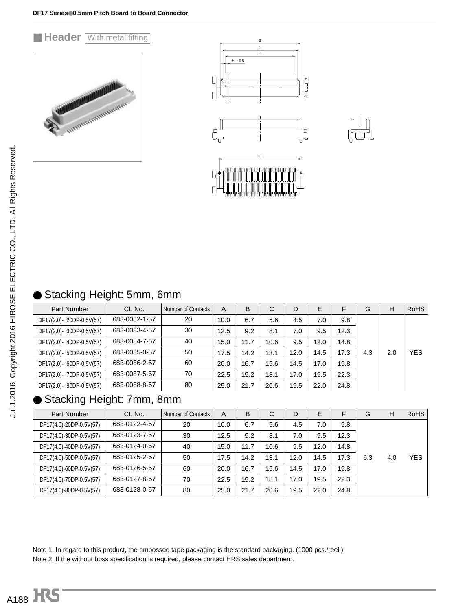### **E Header With metal fitting**







|  | ● Stacking Height: 5mm, 6mm |  |  |  |
|--|-----------------------------|--|--|--|
|--|-----------------------------|--|--|--|

| Part Number              | CL No.        | Number of Contacts | А    | B    | С    | D    | E    | F    | G   | н   | <b>RoHS</b> |
|--------------------------|---------------|--------------------|------|------|------|------|------|------|-----|-----|-------------|
| DF17(2.0)-20DP-0.5V(57)  | 683-0082-1-57 | 20                 | 10.0 | 6.7  | 5.6  | 4.5  | 7.0  | 9.8  |     |     |             |
| DF17(2.0)- 30DP-0.5V(57) | 683-0083-4-57 | 30                 | 12.5 | 9.2  | 8.1  | 7.0  | 9.5  | 12.3 |     |     |             |
| DF17(2.0)- 40DP-0.5V(57) | 683-0084-7-57 | 40                 | 15.0 | 11.7 | 10.6 | 9.5  | 12.0 | 14.8 |     |     |             |
| DF17(2.0)- 50DP-0.5V(57) | 683-0085-0-57 | 50                 | 17.5 | 14.2 | 13.1 | 12.0 | 14.5 | 17.3 | 4.3 | 2.0 | <b>YES</b>  |
| DF17(2.0)- 60DP-0.5V(57) | 683-0086-2-57 | 60                 | 20.0 | 16.7 | 15.6 | 14.5 | 17.0 | 19.8 |     |     |             |
| DF17(2.0)- 70DP-0.5V(57) | 683-0087-5-57 | 70                 | 22.5 | 19.2 | 18.1 | 17.0 | 19.5 | 22.3 |     |     |             |
| DF17(2.0)-80DP-0.5V(57)  | 683-0088-8-57 | 80                 | 25.0 | 21.7 | 20.6 | 19.5 | 22.0 | 24.8 |     |     |             |

## Stacking Height: 7mm, 8mm

| Part Number             | CL No.        | Number of Contacts | A    | B    | C    | D    | E    | F    | G   | н   | <b>RoHS</b> |
|-------------------------|---------------|--------------------|------|------|------|------|------|------|-----|-----|-------------|
| DF17(4.0)-20DP-0.5V(57) | 683-0122-4-57 | 20                 | 10.0 | 6.7  | 5.6  | 4.5  | 7.0  | 9.8  |     |     |             |
| DF17(4.0)-30DP-0.5V(57) | 683-0123-7-57 | 30                 | 12.5 | 9.2  | 8.1  | 7.0  | 9.5  | 12.3 |     |     |             |
| DF17(4.0)-40DP-0.5V(57) | 683-0124-0-57 | 40                 | 15.0 | 11.7 | 10.6 | 9.5  | 12.0 | 14.8 |     |     |             |
| DF17(4.0)-50DP-0.5V(57) | 683-0125-2-57 | 50                 | 17.5 | 14.2 | 13.1 | 12.0 | 14.5 | 17.3 | 6.3 | 4.0 | <b>YES</b>  |
| DF17(4.0)-60DP-0.5V(57) | 683-0126-5-57 | 60                 | 20.0 | 16.7 | 15.6 | 14.5 | 17.0 | 19.8 |     |     |             |
| DF17(4.0)-70DP-0.5V(57) | 683-0127-8-57 | 70                 | 22.5 | 19.2 | 18.1 | 17.0 | 19.5 | 22.3 |     |     |             |
| DF17(4.0)-80DP-0.5V(57) | 683-0128-0-57 | 80                 | 25.0 | 21.7 | 20.6 | 19.5 | 22.0 | 24.8 |     |     |             |

Note 1. In regard to this product, the embossed tape packaging is the standard packaging. (1000 pcs./reel.) Note 2. If the without boss specification is required, please contact HRS sales department.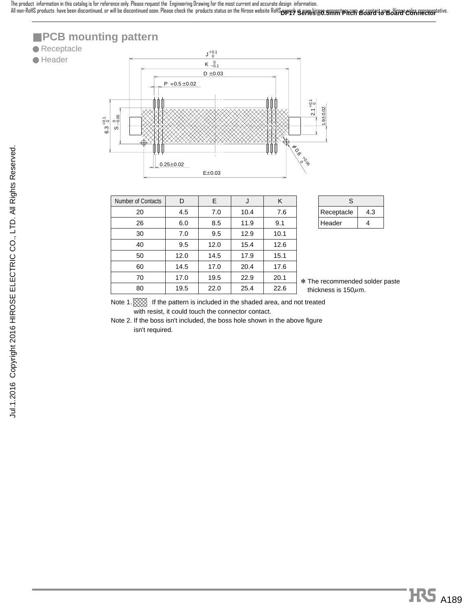All non-RoHS products have been discontinued, or will be discontinued soon. Please check the products status on the Hirose website RoHS**<sub>CPP PC</sub>) Servels of SAMAT PRCM BGAMAT&BGAMPC CORP** FREERSPLATVE. The product information in this catalog is for reference only. Please request the Engineering Drawing for the most current and accurate design information.

### ■ **PCB** mounting pattern

### ● Receptacle

● Header



| <b>Number of Contacts</b> | D    | E.   | J    | K    |
|---------------------------|------|------|------|------|
| 20                        | 4.5  | 7.0  | 10.4 | 7.6  |
| 26                        | 6.0  | 8.5  | 11.9 | 9.1  |
| 30                        | 7.0  | 9.5  | 12.9 | 10.1 |
| 40                        | 9.5  | 12.0 | 15.4 | 12.6 |
| 50                        | 12.0 | 14.5 | 17.9 | 15.1 |
| 60                        | 14.5 | 17.0 | 20.4 | 17.6 |
| 70                        | 17.0 | 19.5 | 22.9 | 20.1 |
| 80                        | 19.5 | 22.0 | 25.4 | 22.6 |

| S.         |     |
|------------|-----|
| Receptacle | 4.3 |
| Header     | Δ   |

\* The recommended solder paste thickness is  $150 \mu$ m.

Note 1.  $\boxtimes$  If the pattern is included in the shaded area, and not treated with resist, it could touch the connector contact.

Note 2. If the boss isn't included, the boss hole shown in the above figure isn't required.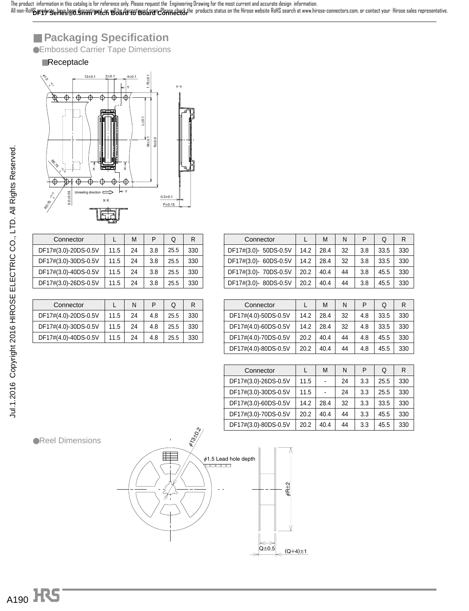**DF17 Series**●**0.5mm Pitch Board to Board Connector** The product information in this catalog is for reference only. Please request the Engineering Drawing for the most current and accurate design information. All non-RoHS products have been discontinued, or will be discontinued soon. Please check the products status on the Hirose website RoHS search at www.hirose-connectors.com, or contact your Hirose sales representative.

## ■ **Packaging Specification**

●Embossed Carrier Tape Dimensions

#### ■Receptacle



| Connector            |      | м  | P   | Q    | R   |
|----------------------|------|----|-----|------|-----|
| DF17#(3.0)-20DS-0.5V | 11.5 | 24 | 3.8 | 25.5 | 330 |
| DF17#(3.0)-30DS-0.5V | 11.5 | 24 | 3.8 | 25.5 | 330 |
| DF17#(3.0)-40DS-0.5V | 11.5 | 24 | 3.8 | 25.5 | 330 |
| DF17#(3.0)-26DS-0.5V | 11.5 | 24 | 3.8 | 25.5 | 330 |
|                      |      |    |     |      |     |

| Connector            |      | N  | P   | Q    | R   |
|----------------------|------|----|-----|------|-----|
| DF17#(4.0)-20DS-0.5V | 11.5 | 24 | 4.8 | 25.5 | 330 |
| DF17#(4.0)-30DS-0.5V | 11.5 | 24 | 4.8 | 25.5 | 330 |
| DF17#(4.0)-40DS-0.5V | 11.5 | 24 | 4.8 | 25.5 | 330 |
|                      |      |    |     |      |     |

| Connector             |      | М    | N  | P   | Q    | R   |
|-----------------------|------|------|----|-----|------|-----|
| DF17#(3.0)- 50DS-0.5V | 14.2 | 28.4 | 32 | 3.8 | 33.5 | 330 |
| DF17#(3.0)- 60DS-0.5V | 14.2 | 28.4 | 32 | 3.8 | 33.5 | 330 |
| DF17#(3.0)- 70DS-0.5V | 20.2 | 40.4 | 44 | 3.8 | 45.5 | 330 |
| DF17#(3.0)-80DS-0.5V  | 20.2 | 40.4 | 44 | 3.8 | 45.5 | 330 |
|                       |      |      |    |     |      |     |

|      | М    | N  | P   | Q    | R   |
|------|------|----|-----|------|-----|
| 14.2 | 28.4 | 32 | 4.8 | 33.5 | 330 |
| 14.2 | 28.4 | 32 | 4.8 | 33.5 | 330 |
| 20.2 | 40.4 | 44 | 4.8 | 45.5 | 330 |
| 20.2 | 40.4 | 44 | 4.8 | 45.5 | 330 |
|      |      |    |     |      |     |

| Connector            |      | М    | N  | P   | Q    | R   |
|----------------------|------|------|----|-----|------|-----|
| DF17#(3.0)-26DS-0.5V | 11.5 |      | 24 | 3.3 | 25.5 | 330 |
| DF17#(3.0)-30DS-0.5V | 11.5 |      | 24 | 3.3 | 25.5 | 330 |
| DF17#(3.0)-60DS-0.5V | 14.2 | 28.4 | 32 | 3.3 | 33.5 | 330 |
| DF17#(3.0)-70DS-0.5V | 20.2 | 40.4 | 44 | 3.3 | 45.5 | 330 |
| DF17#(3.0)-80DS-0.5V | 20.2 | 40.4 | 44 | 3.3 | 45.5 | 330 |

●Reel Dimensions

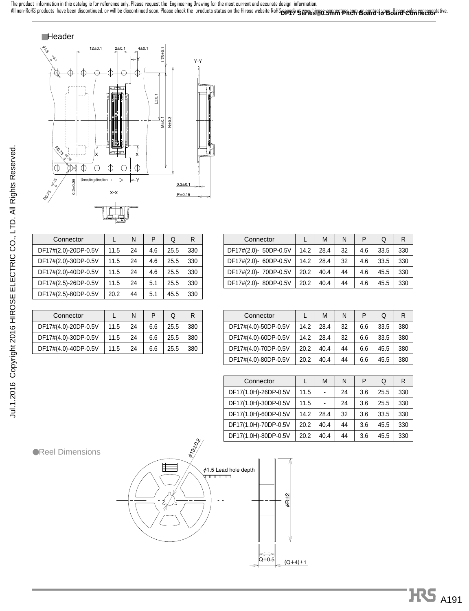**DF17 Series**●**0.5mm Pitch Board to Board Connector** The product information in this catalog is for reference only. Please request the Engineering Drawing for the most current and accurate design information. All non-RoHS products have been discontinued, or will be discontinued soon. Please check the products status on the Hirose website RoHS search at www.hirose-connectors.com, or captact wour Hirose sales representative.

#### ■Header



| Connector            |      | N  | P   | Q    | R   |
|----------------------|------|----|-----|------|-----|
| DF17#(2.0)-20DP-0.5V | 11.5 | 24 | 4.6 | 25.5 | 330 |
| DF17#(2.0)-30DP-0.5V | 11.5 | 24 | 4.6 | 25.5 | 330 |
| DF17#(2.0)-40DP-0.5V | 11.5 | 24 | 4.6 | 25.5 | 330 |
| DF17#(2.5)-26DP-0.5V | 11.5 | 24 | 5.1 | 25.5 | 330 |
| DF17#(2.5)-80DP-0.5V | 20.2 | 44 | 5.1 | 45.5 | 330 |

| Connector            |      | N  | P   | Q    | R   |
|----------------------|------|----|-----|------|-----|
| DF17#(4.0)-20DP-0.5V | 11.5 | 24 | 6.6 | 25.5 | 380 |
| DF17#(4.0)-30DP-0.5V | 11.5 | 24 | 6.6 | 25.5 | 380 |
| DF17#(4.0)-40DP-0.5V | 11.5 | 24 | 6.6 | 25.5 | 380 |
|                      |      |    |     |      |     |

| Connector             |      | M    | N  | P   | Q    | R   |
|-----------------------|------|------|----|-----|------|-----|
| DF17#(2.0)- 50DP-0.5V | 14.2 | 28.4 | 32 | 4.6 | 33.5 | 330 |
| DF17#(2.0)- 60DP-0.5V | 14.2 | 28.4 | 32 | 4.6 | 33.5 | 330 |
| DF17#(2.0)- 70DP-0.5V | 20.2 | 40.4 | 44 | 4.6 | 45.5 | 330 |
| DF17#(2.0)-80DP-0.5V  | 20.2 | 40.4 | 44 | 4.6 | 45.5 | 330 |
|                       |      |      |    |     |      |     |

| Connector            |      | M    | N  | P   | Q    | R   |
|----------------------|------|------|----|-----|------|-----|
| DF17#(4.0)-50DP-0.5V | 14.2 | 28.4 | 32 | 6.6 | 33.5 | 380 |
| DF17#(4.0)-60DP-0.5V | 14.2 | 28.4 | 32 | 6.6 | 33.5 | 380 |
| DF17#(4.0)-70DP-0.5V | 20.2 | 40.4 | 44 | 6.6 | 45.5 | 380 |
| DF17#(4.0)-80DP-0.5V | 20.2 | 40.4 | 44 | 6.6 | 45.5 | 380 |

| Connector            |      | M    | N  | P   | Q    | R   |
|----------------------|------|------|----|-----|------|-----|
| DF17(1.0H)-26DP-0.5V | 11.5 |      | 24 | 3.6 | 25.5 | 330 |
| DF17(1.0H)-30DP-0.5V | 11.5 |      | 24 | 3.6 | 25.5 | 330 |
| DF17(1.0H)-60DP-0.5V | 14.2 | 28.4 | 32 | 3.6 | 33.5 | 330 |
| DF17(1.0H)-70DP-0.5V | 20.2 | 40.4 | 44 | 3.6 | 45.5 | 330 |
| DF17(1.0H)-80DP-0.5V | 20.2 | 40.4 | 44 | 3.6 | 45.5 | 330 |

●Reel Dimensions



# HPS A191